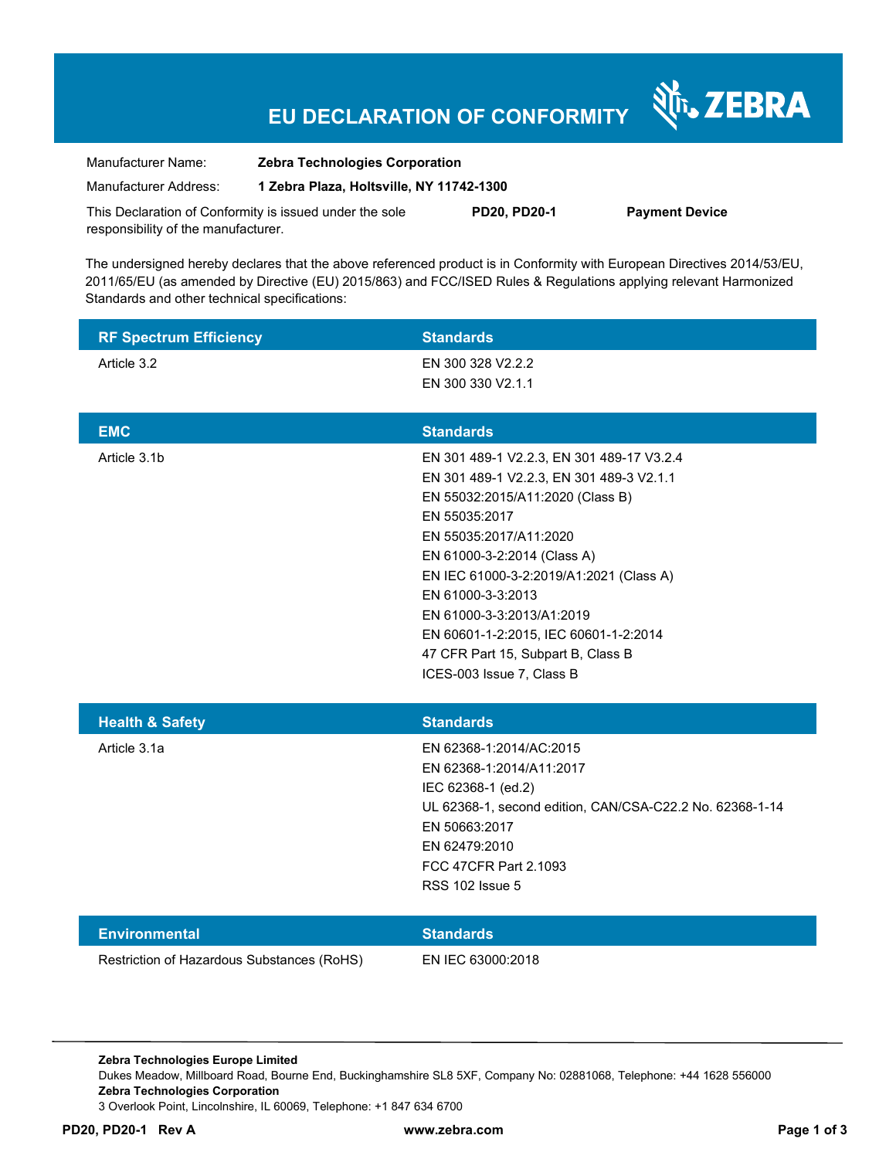# **EU DECLARATION OF CONFORMITY**

Nr. ZEBRA

| Manufacturer Name:                                      | <b>Zebra Technologies Corporation</b>    |              |                       |
|---------------------------------------------------------|------------------------------------------|--------------|-----------------------|
| Manufacturer Address:                                   | 1 Zebra Plaza, Holtsville, NY 11742-1300 |              |                       |
| This Declaration of Conformity is issued under the sole |                                          | PD20, PD20-1 | <b>Payment Device</b> |
| responsibility of the manufacturer.                     |                                          |              |                       |

The undersigned hereby declares that the above referenced product is in Conformity with European Directives 2014/53/EU, 2011/65/EU (as amended by Directive (EU) 2015/863) and FCC/ISED Rules & Regulations applying relevant Harmonized Standards and other technical specifications:

| <b>RF Spectrum Efficiency</b>              | <b>Standards</b>                                                                                                                                                                                                                                                                                                                                                                                             |
|--------------------------------------------|--------------------------------------------------------------------------------------------------------------------------------------------------------------------------------------------------------------------------------------------------------------------------------------------------------------------------------------------------------------------------------------------------------------|
| Article 3.2                                | EN 300 328 V2.2.2<br>EN 300 330 V2.1.1                                                                                                                                                                                                                                                                                                                                                                       |
| <b>EMC</b>                                 | <b>Standards</b>                                                                                                                                                                                                                                                                                                                                                                                             |
| Article 3.1b                               | EN 301 489-1 V2.2.3, EN 301 489-17 V3.2.4<br>EN 301 489-1 V2.2.3, EN 301 489-3 V2.1.1<br>EN 55032:2015/A11:2020 (Class B)<br>EN 55035:2017<br>EN 55035:2017/A11:2020<br>EN 61000-3-2:2014 (Class A)<br>EN IEC 61000-3-2:2019/A1:2021 (Class A)<br>EN 61000-3-3:2013<br>EN 61000-3-3:2013/A1:2019<br>EN 60601-1-2:2015, IEC 60601-1-2:2014<br>47 CFR Part 15, Subpart B, Class B<br>ICES-003 Issue 7, Class B |
| <b>Health &amp; Safety</b>                 | <b>Standards</b>                                                                                                                                                                                                                                                                                                                                                                                             |
| Article 3.1a                               | EN 62368-1:2014/AC:2015<br>EN 62368-1:2014/A11:2017<br>IEC 62368-1 (ed.2)<br>UL 62368-1, second edition, CAN/CSA-C22.2 No. 62368-1-14<br>EN 50663:2017<br>EN 62479:2010<br>FCC 47CFR Part 2.1093<br><b>RSS 102 Issue 5</b>                                                                                                                                                                                   |
| <b>Environmental</b>                       | <b>Standards</b>                                                                                                                                                                                                                                                                                                                                                                                             |
| Restriction of Hazardous Substances (RoHS) | EN IEC 63000:2018                                                                                                                                                                                                                                                                                                                                                                                            |

**Zebra Technologies Europe Limited**  Dukes Meadow, Millboard Road, Bourne End, Buckinghamshire SL8 5XF, Company No: 02881068, Telephone: +44 1628 556000 **Zebra Technologies Corporation**  3 Overlook Point, Lincolnshire, IL 60069, Telephone: +1 847 634 6700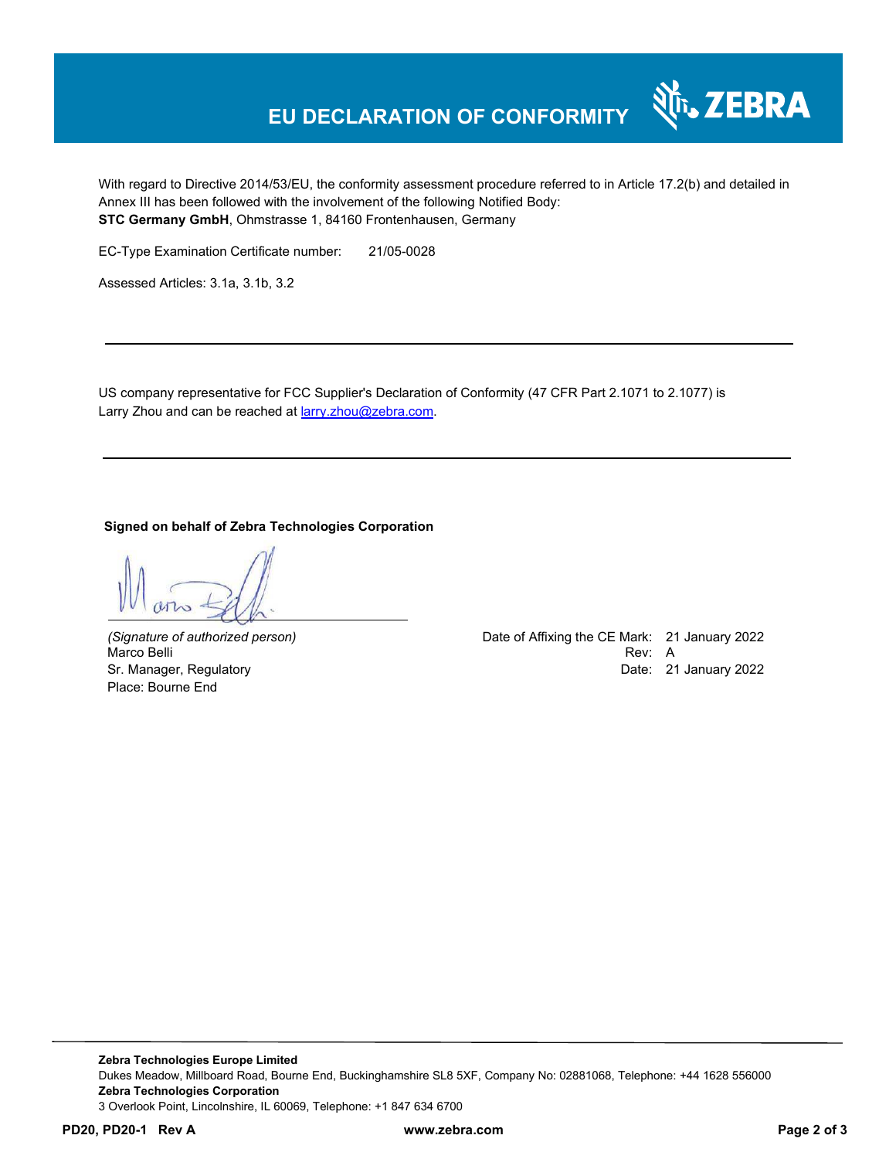## **EU DECLARATION OF CONFORMITY**

With regard to Directive 2014/53/EU, the conformity assessment procedure referred to in Article 17.2(b) and detailed in Annex III has been followed with the involvement of the following Notified Body: **STC Germany GmbH**, Ohmstrasse 1, 84160 Frontenhausen, Germany

EC-Type Examination Certificate number: 21/05-0028

Assessed Articles: 3.1a, 3.1b, 3.2

US company representative for FCC Supplier's Declaration of Conformity (47 CFR Part 2.1071 to 2.1077) is Larry Zhou and can be reached at **larry.zhou@zebra.com.** 

**Signed on behalf of Zebra Technologies Corporation** 

Place: Bourne End

*(Signature of authorized person)* Date of Affixing the CE Mark: 21 January 2022 Marco Belli Rev: A Sr. Manager, Regulatory Date: 21 January 2022

N<sub>I</sub> ZEBRA